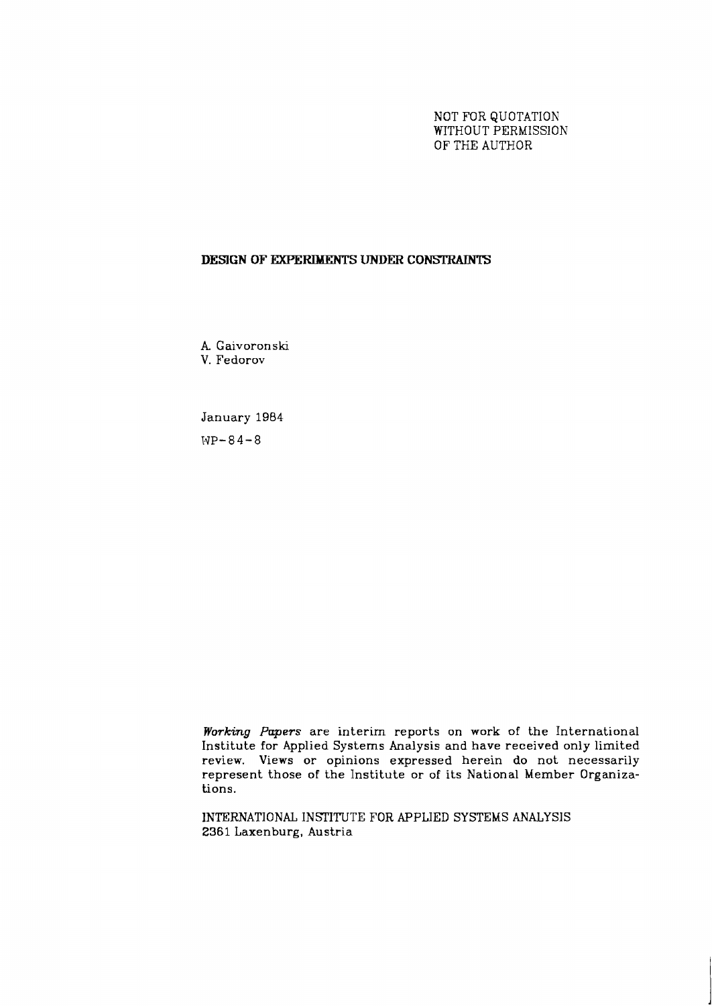NOT FOR QUOTATION WITHOUT PERMISSION OF THE AUTHOR

## **DESIGN OF EXPERIMENTS UNDER CONSTRAINTS**

A Gaivoronski V. Fedorov

January 1984  $WP - 84 - 8$ 

**Working** *Papers* are interim reports on work of the International Institute for Applied Systems Analysis and have received only limited review. Views or opinions expressed herein do not necessarily represent those of the Institute or of its National Member Organizations.

INTERNATIONAL INSTITUTE FOR APPLIED SYSTEMS ANALYSIS **2361** Laxenburg, Austria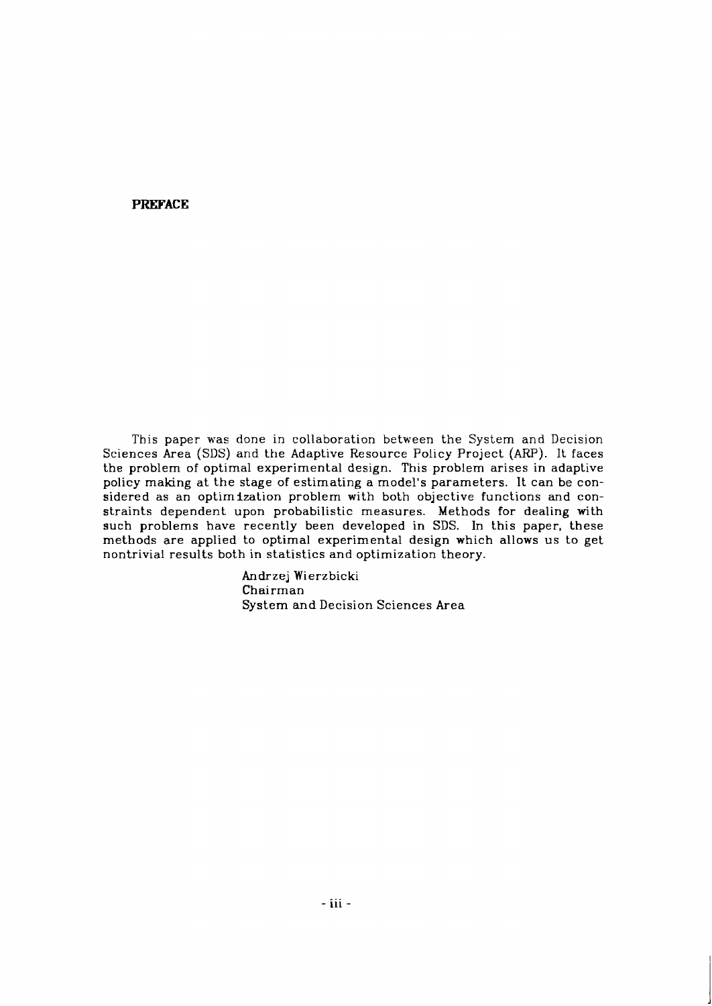## **PREFACE**

This paper was done in collaboration between the System and Decision Sciences Area (SDS) and the Adaptive Resource Policy Project (ARP). It faces the problem of optimal experimental design. This problem arises in adaptive policy making at the stage of estimating a model's parameters. It can be considered as an optimization problem with both objective functions and constraints dependent upon probabilistic measures. Methods for dealing with such problems have recently been developed in SDS. In this paper, these methods are applied to optimal experimental design which allows us to get nontrivial results both in statistics and optimization theory.

> Andrzej Wierzbicki Chairman System and Decision Sciences Area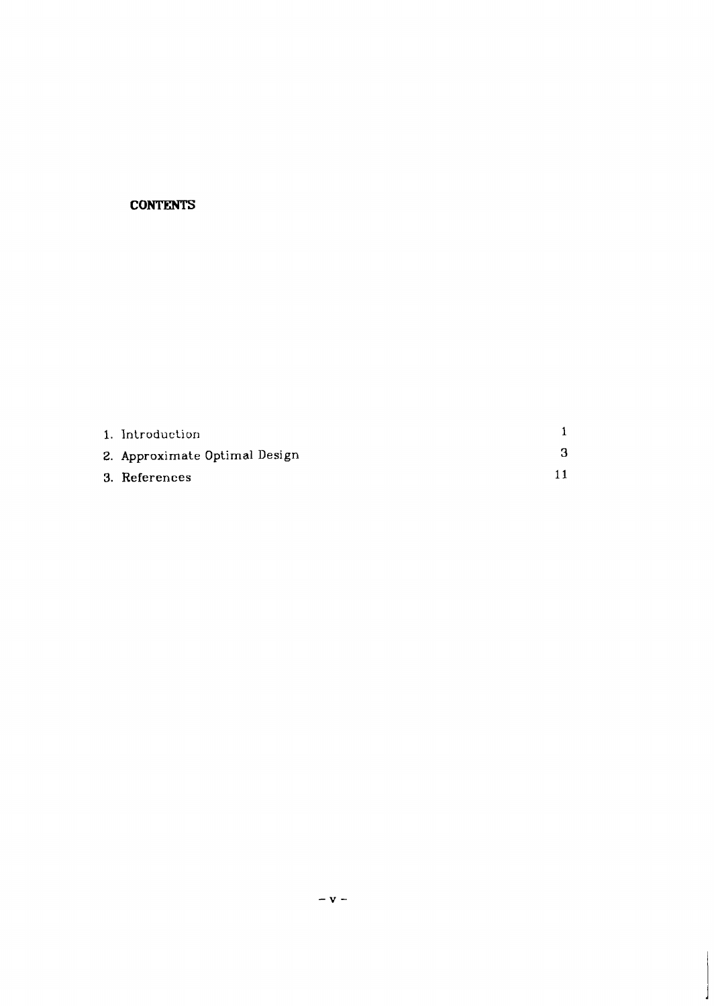# **CONTENTS**

| 1. Introduction               |  |
|-------------------------------|--|
| 2. Approximate Optimal Design |  |
| 3. References                 |  |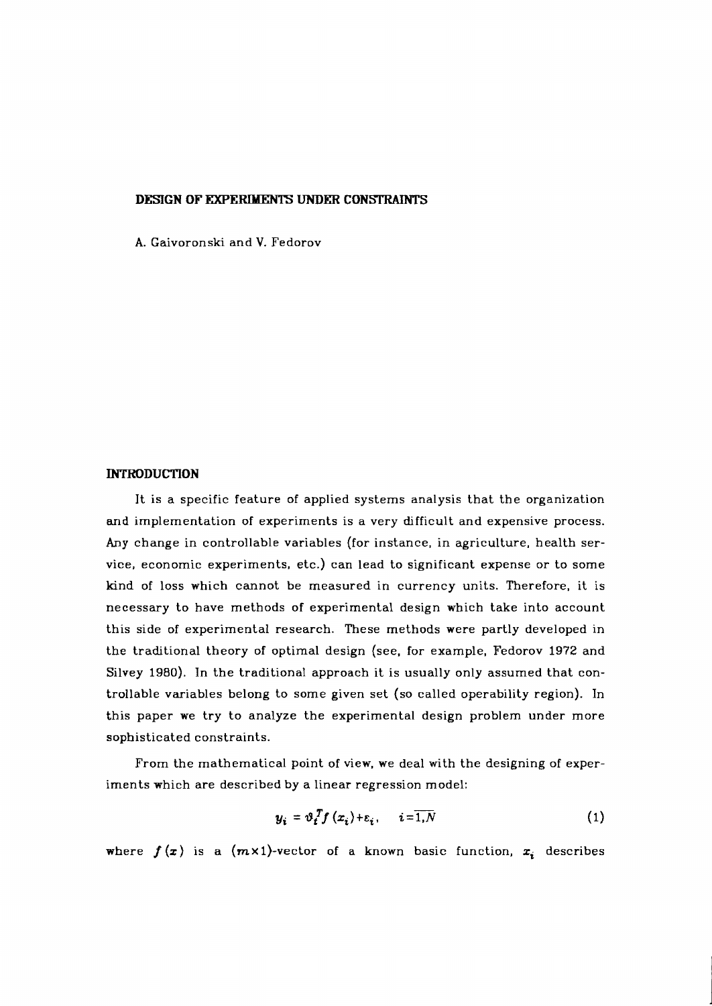### **DESIGN OF EXPERIMENTS UNDER CONSTRAINTS**

A. Gaivoronski and V. Fedorov

### **INTRODUCTION**

It is a specific feature of applied systems analysis that the organization **and** implementation of experiments is a very difficult and expensive process. Any change in controllable variables (for instance, in agriculture, health service, economic experiments, etc.) can lead to significant expense or to some kind of loss which cannot be measured in currency units. Therefore, it is necessary to have methods of experimental design which take into account this side of experimental research. These methods were partly developed in the traditional theory of optimal design (see, for example, Fedorov 1972 and Silvey 1980). In the traditional approach it is usually only assumed that controllable variables belong to some given set (so called operability region). In this paper we try to analyze the experimental design problem under more sophisticated constraints.

From the mathematical point of view, we deal with the designing of experiments which are described by a linear regression model:

$$
y_i = \vartheta_i^T f(x_i) + \varepsilon_i, \quad i = \overline{1, N} \tag{1}
$$

where  $f(x)$  is a  $(m \times 1)$ -vector of a known basic function,  $x_i$  describes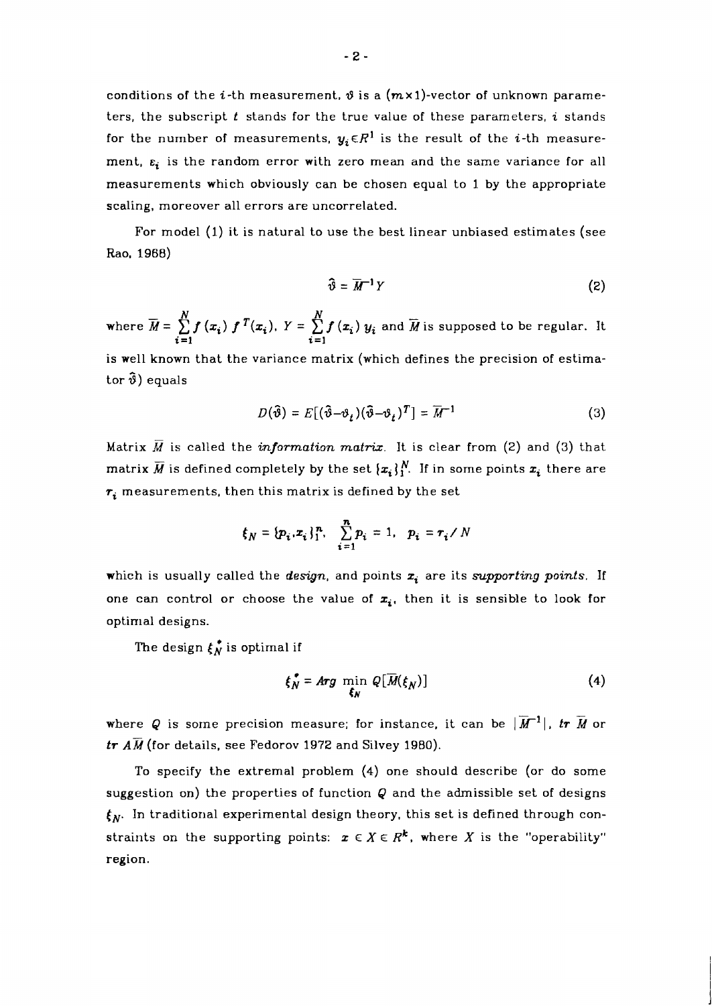$-2-$ 

conditions of the *i*-th measurement,  $\vartheta$  is a  $(m \times 1)$ -vector of unknown parameters, the subscript t stands for the true value of these parameters, **i** stands for the number of measurements,  $y_i \in R^1$  is the result of the *i*-th measurement,  $\varepsilon_i$  is the random error with zero mean and the same variance for all measurements which obviously can be chosen equal to 1 by the appropriate scaling, moreover all errors are uncorrelated.

For model (1) it is natural to use the best linear unbiased estimates (see Rao, 1968)

$$
\widehat{\mathfrak{v}} = \overline{M}^{-1} Y \tag{2}
$$

where  $\overline{M} = \sum\limits_{i=1}^N f(x_i) \ f^T(x_i), \ Y = \sum\limits_{i=1}^N f(x_i) \ y_i$  and  $\overline{M}$  is supposed to be regular. It  $i=1$   $i=1$ 

is well known that the variance matrix (which defines the precision of estimator  $\hat{\vartheta}$ ) equals

$$
D(\hat{\vartheta}) = E[(\hat{\vartheta} - \vartheta_t)(\hat{\vartheta} - \vartheta_t)^T] = \overline{M}^{-1}
$$
 (3)

Matrix  $\overline{M}$  is called the *information matrix*. It is clear from (2) and (3) that matrix  $\overline{M}$  is defined completely by the set  $\{x_i\}_{i=1}^N$ . If in some points  $x_i$  there are  $r_i$  measurements, then this matrix is defined by the set

$$
\xi_N = \{p_i, z_i\}_{1}^n, \quad \sum_{i=1}^n p_i = 1, \quad p_i = r_i / N
$$

which is usually called the design, and points  $x_i$  are its supporting points. If one can control or choose the value of  $x_i$ , then it is sensible to look for optimal designs.

The design  $\xi_N^*$  is optimal if

$$
\xi_N^* = \text{Arg} \min_{\xi_N} Q[\overline{M}(\xi_N)] \tag{4}
$$

where Q is some precision measure; for instance, it can be  $|\overline{M}^{-1}|$ , tr  $\overline{M}$  or  $tr$   $\overline{AM}$  (for details, see Fedorov 1972 and Silvey 1980).

To specify the extremal problem (4) one should describe (or do some suggestion on) the properties of function  $Q$  and the admissible set of designs  $f_N$ . In traditional experimental design theory, this set is defined through constraints on the supporting points:  $x \in X \in R^k$ , where X is the "operability" region.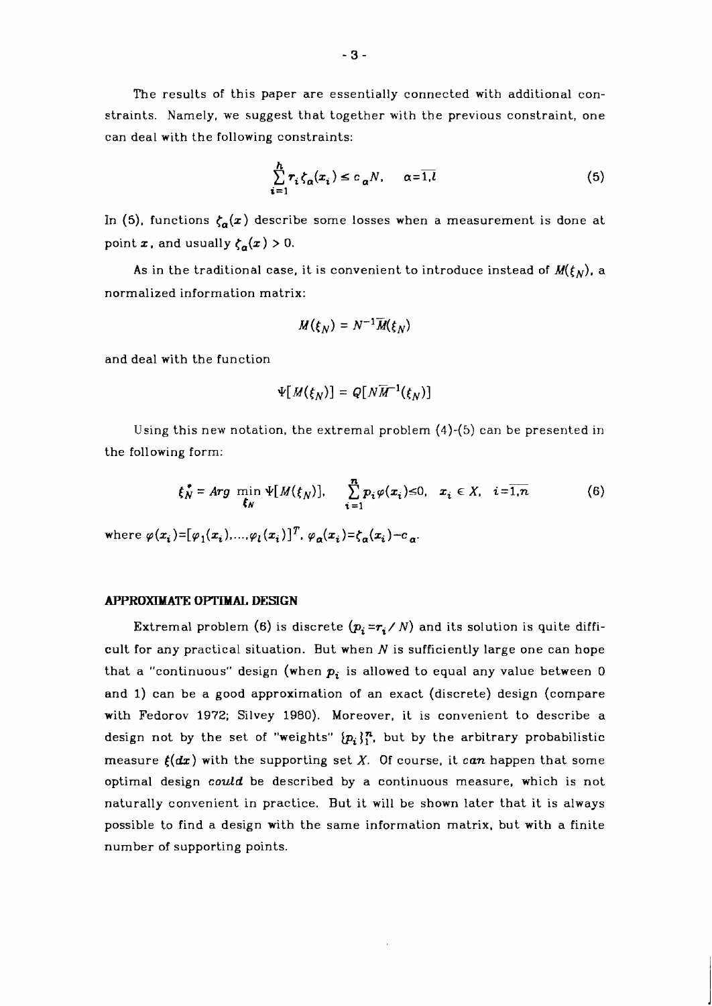The results of this paper are essentially connected with additional constraints. Namely, we suggest that together with the previous constraint, one can deal with the following constraints:

$$
\sum_{i=1}^{h} r_i \zeta_{\alpha}(x_i) \le c_{\alpha} N, \qquad \alpha = \overline{1, l} \tag{5}
$$

In (5), functions  $\zeta_a(x)$  describe some losses when a measurement is done at point  $x$ , and usually  $\zeta_{\alpha}(x) > 0$ .

As in the traditional case, it is convenient to introduce instead of  $M(\xi_N)$ , a normalized information matrix:

$$
M(\xi_N)=N^{-1}\overline{M}(\xi_N)
$$

and deal with the function

$$
\Psi[M(\xi_N)] = Q[N\overline{M}^{-1}(\xi_N)]
$$

Using this new notation, the extremal problem (4)-(5) can be presented in<br>ollowing form:<br> $\mathbf{f}_{N}^{\bullet} = Arg \min \Psi[M(\mathbf{f}_{N})], \qquad \sum_{i=1}^{n} p_{i} \varphi(x_{i}) \leq 0, \quad x_{i} \in X, \quad i = \overline{1,n}$  (6) the following form:

$$
\xi_N^* = \text{Arg} \min_{\xi_N} \Psi[M(\xi_N)], \quad \sum_{i=1}^n p_i \varphi(x_i) \le 0, \quad x_i \in X, \quad i = \overline{1, n} \tag{6}
$$

where  $\varphi(x_i) = [\varphi_1(x_i), ..., \varphi_l(x_i)]^T$ ,  $\varphi_2(x_i) = \xi_2(x_i) - c_{\alpha}$ .

#### **APPROXIMATE OPTIMAL DESIGN**

Extremal problem (6) is discrete  $(p_i = r_i / N)$  and its solution is quite difficult for any practical situation. But when  $N$  is sufficiently large one can hope that a "continuous" design (when  $p_i$  is allowed to equal any value between 0 and 1) can be a good approximation of an exact (discrete) design (compare with Fedorov 1972; Silvey 1980). Moreover, it is convenient to describe a design not by the set of "weights"  $\{p_i\}_{i=1}^n$ , but by the arbitrary probabilistic measure  $f(dx)$  with the supporting set X. Of course, it can happen that some optimal design *could* be described by a continuous measure, which is not naturally convenient in practice. But it will be shown later that it is always possible to find a design with the same information matrix, but with a finite number of supporting points.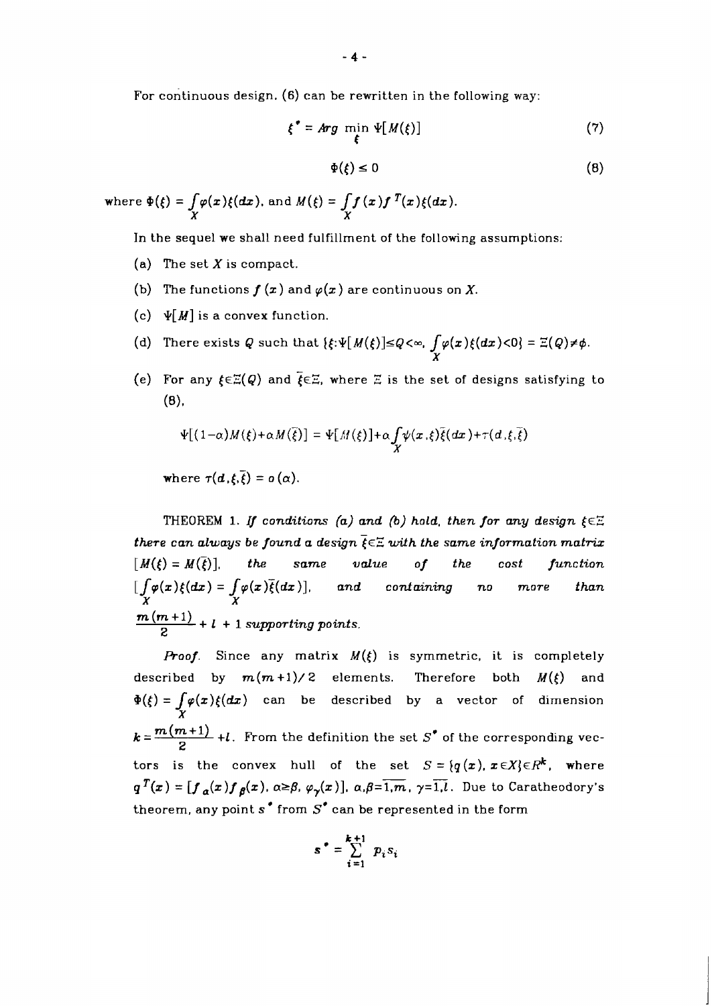For continuous design. (6) can be rewritten in the following way:

$$
\xi^* = \text{Arg} \min_{\xi} \Psi[M(\xi)] \tag{7}
$$

$$
\Phi(\xi) \le 0 \tag{8}
$$

where  $\Phi(\xi) = \int_{V} \varphi(x) \xi(dx)$ , and  $M(\xi) = \int_{V} f(x) f^{T}(x) \xi(dx)$ .

In the sequel we shall need fulfillment of the following assumptions:

- (a) The set  $X$  is compact.
- (b) The functions  $f(x)$  and  $\varphi(x)$  are continuous on X.
- (c)  $\mathbf{\Psi}[M]$  is a convex function.
- (d) There exists Q such that  $\{\xi:\Psi[M(\xi)]\leq Q<\infty$ ,  $\int \varphi(x)\xi(dx)<0\}=\mathbb{E}(Q)\neq\phi$ . **X**
- (e) For any  $\xi \in \mathbb{E}(Q)$  and  $\xi \in \mathbb{E}$ , where  $\mathbb E$  is the set of designs satisfying to  $(8),$

$$
\Psi[(1-\alpha)M(\xi)+\alpha M(\overline{\xi})]=\Psi[M(\xi)]+\alpha \int_X \psi(x,\xi)\overline{\xi}(dx)+\tau(d,\xi,\overline{\xi})
$$

where  $\tau(d,\xi,\overline{\xi}) = o(\alpha)$ .

THEOREM 1. If conditions (a) and (b) hold, then for any design  $\xi \in \Xi$ there can always be found a design  $\overline{\xi} \in \Xi$  with the same information matrix  $[M(\xi) = M(\overline{\xi})]$ , the same value of the cost function  $\int \int \varphi(x) \xi(dx) = \int \varphi(x) \overline{\xi}(dx)$ ], and containing no more than **X X**   $\frac{m(m+1)}{2}$  + 1 + 1 supporting points.

**Proof.** Since any matrix  $M(\xi)$  is symmetric, it is completely described by  $m(m+1)/2$  elements. Therefore both  $M(\xi)$  and  $\Phi(\xi) = \int \varphi(x) \xi(dx)$  can be described by a vector of dimension **X**  there can always be journa a design  $\xi \in \mathbb{R}$  with the same enjormation matrix  $[M(\xi) = M(\overline{\xi})]$ , the same value of the cost function  $\int_X \varphi(x) \xi(dx) = \int_X \varphi(x) \overline{\xi}(dx)$ , and containing no more than  $\frac{m(m+1)}{2} + l + 1$  suppor  $k = \frac{m(m+1)}{2} + l$ . From the definition the set S<sup>\*</sup> of the corresponding vectors is the convex hull of the set  $S = \{q(x), x \in X\} \in R^k$ , where  $g^{T}(x) = [f_{\alpha}(x) f_{\beta}(x), \alpha \geq \beta, \varphi_{\gamma}(x)], \alpha, \beta = \overline{1,m}, \gamma = \overline{1,l}$ . Due to Caratheodory's theorem, any point  $s'$  from  $S'$  can be represented in the form

$$
\mathbf{s}^* = \sum_{i=1}^{k+1} p_i s_i
$$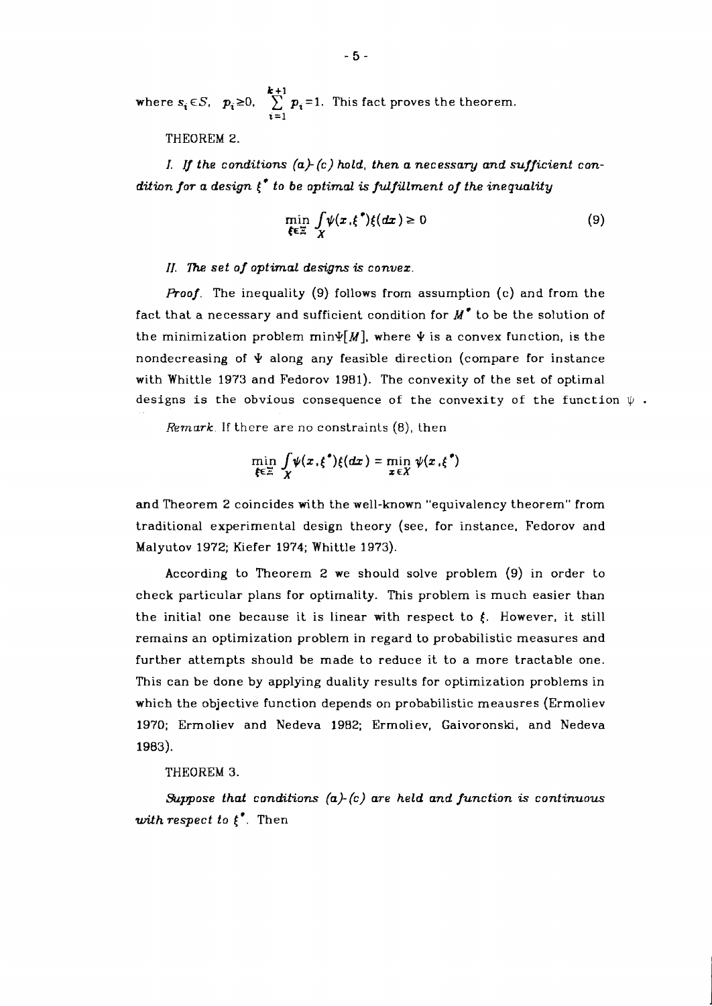where  $s_i \in S$ ,  $p_i \ge 0$ ,  $\sum_{i=1}^{k+1} p_i = 1$ . This fact proves the theorem.  $\overline{i=1}$ 

THEOREM 2.

*I.* /f *the conditions (a) (c) hold, then a necessary and sufficient condition for a design* [\* *to be optimal* .is *fulfillment of the inequality* 

$$
\min_{\xi \in \Xi} \frac{\int \psi(x,\xi^*) \xi(dx) \ge 0}{\chi} \tag{9}
$$

## *II.* **77~** *set of optimal designs* **is** *convez.*

*Proof.* The inequality (9) follows from assumption (c) and from the fact that a necessary and sufficient condition for  $M^{\bullet}$  to be the solution of the minimization problem min $\psi[M]$ , where  $\Psi$  is a convex function, is the nondecreasing of  $\dot{\Psi}$  along any feasible direction (compare for instance with Whittle 1973 and Fedorov 1981). The convexity of the set of optimal designs is the obvious consequence of the convexity of the function  $\Psi$  .

*Remark.* If there are no constraints (8), then

$$
\min_{\xi \in \Xi} \int_{X} \psi(x,\xi^*) \xi(dx) = \min_{x \in X} \psi(x,\xi^*)
$$

and Theorem 2 coincides with the well-known "equivalency theorem" from traditional experimental design theory (see, for instance, Fedorov and Malyutov 1972; Kiefer 1974; Whittle 1973).

According to Theorem 2 we should solve problem (9) in order to check particular plans for optimality. This problem is much easier than the initial one because it is linear with respect to  $f$ . However, it still remains an optimization problem in regard to probabilistic measures and further attempts should be made to reduce it to a more tractable one. This can be done by applying duality results for optimization problems in which the objective function depends on probabilistic meausres (Ermoliev 1970; Ermoliev and Nedeva 1982; Ermoliev, Gaivoronski, and Nedeva 1983).

## THEOREM 3.

*%ppose that conditions (a)-(c) are held and function* **is** *continuous with respect to t\*.* Then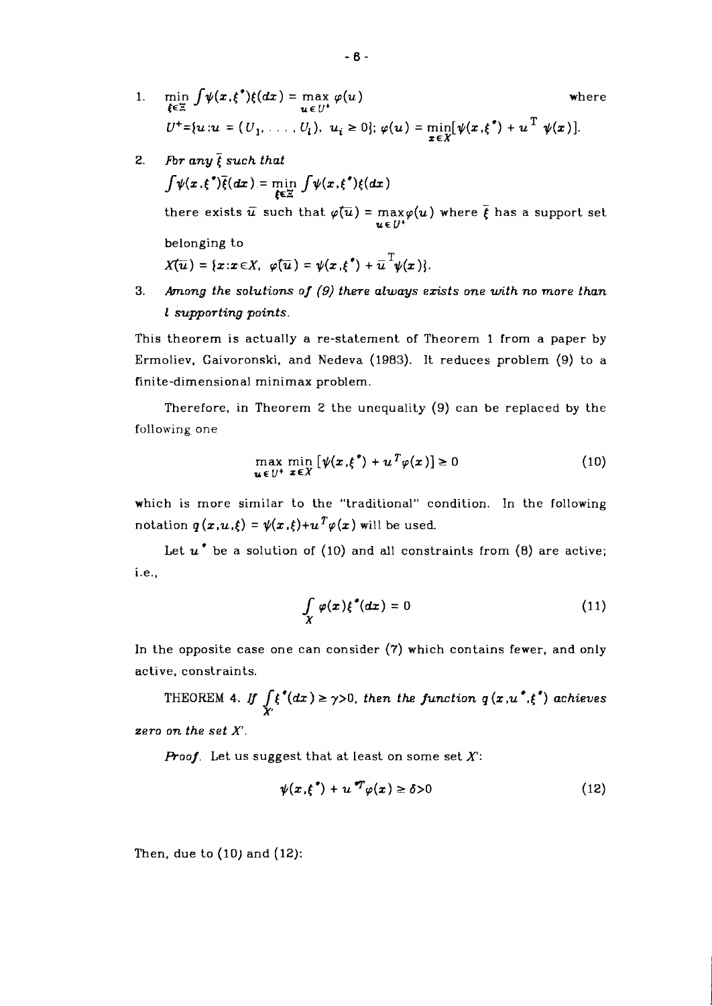- 1.  $\min_{\xi \in \Xi} \int \psi(x,\xi^*) \xi(dx) = \max_{u \in U^+} \varphi(u)$  wh<br>  $U^+ = \{u : u = (U_1, \ldots, U_l), u_i \ge 0\}; \varphi(u) = \min_{\xi \in \Xi} [\psi(x,\xi^*) + u^T \psi(x)].$ where
- 2. For any  $\overline{\xi}$  such that  $\int \psi(x,\xi^*)\overline{\xi}(dx) = \min_{\xi \in \Xi} \int \psi(x,\xi^*)\xi(dx)$ there exists  $\bar{u}$  such that  $\varphi(\bar{u}) = \max_{u \in \mathcal{U}} \varphi(u)$  where  $\bar{\xi}$  has a support set **UE** LJ+ belonging to  $X(\overline{u}) = \{x : x \in X, \ \varphi(\overline{u}) = \psi(x, \xi^*) + \overline{u}^T \psi(x) \}.$
- **3.** *Among the solutions of (9) there always ezists one with no more than l supporting points*

This theorem is actually a re-statement of Theorem *1* from a paper by Ermoliev, Gaivoronski, and Nedeva *(1983).* It reduces problem (9) to a finite-dimensional minimax problem.

Therefore, in Theorem **2** the unequality (9) can be replaced by the following one

$$
\max_{\mathbf{u} \in U^{+}} \min_{\mathbf{z} \in X} \left[ \psi(\mathbf{x}, \xi^{*}) + u^{T} \varphi(\mathbf{x}) \right] \ge 0 \tag{10}
$$

which is more similar to the "traditional" condition. In the following notation  $q(x, u, \xi) = \psi(x, \xi) + u^T \varphi(x)$  will be used.

Let *u\** be a solution of *(10)* and all constraints from *(8)* are active; i.e.,

$$
\int\limits_X \varphi(x) \xi^{\bullet}(dx) = 0 \tag{11}
$$

In the opposite case one can consider (7) which contains fewer, and only active, constraints.

THEOREM 4. If  $\int \xi^*(dx) \ge \gamma > 0$ , then the function  $q(x, u^*, \xi^*)$  achieves **X'**   $zero on the set X.$ 

*Proof.* Let us suggest that at least on some set **X:** 

$$
\psi(x,\xi^*) + u^*T\varphi(x) \ge \delta > 0 \tag{12}
$$

Then, due to *(10)* and *(12):*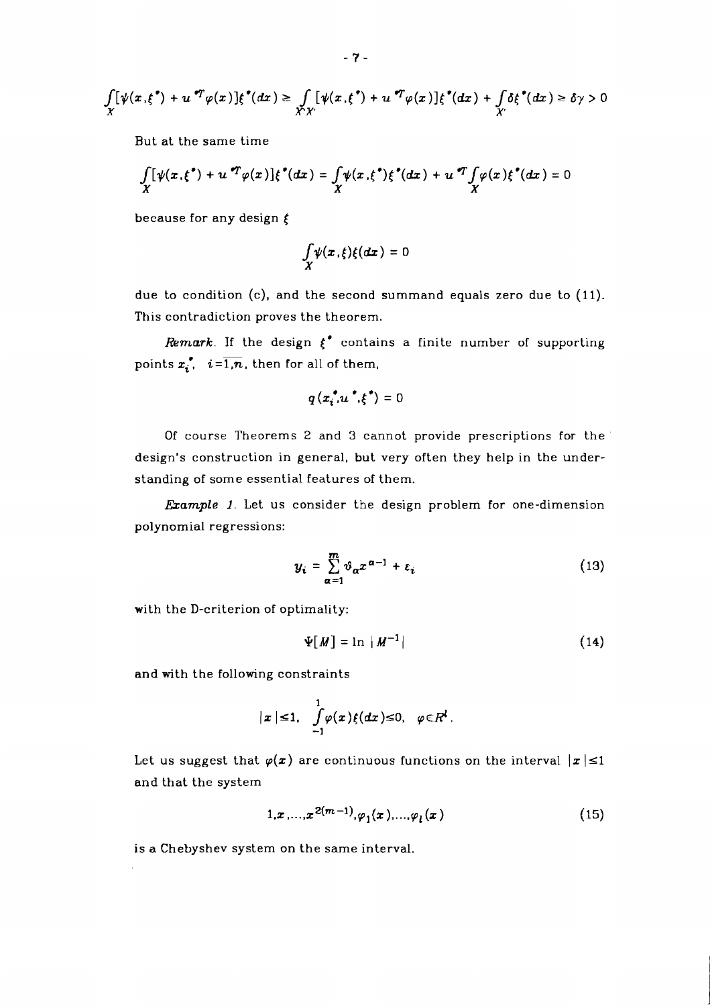$$
\int_X [\psi(x,\xi^*) + u^{\sigma T} \varphi(x)] \xi^{\sigma}(dx) \geq \int_{\mathcal{X}\times\mathcal{Y}} [\psi(x,\xi^*) + u^{\sigma T} \varphi(x)] \xi^{\sigma}(dx) + \int_{\mathcal{X}'} \delta \xi^{\sigma}(dx) \geq \delta \gamma > 0
$$

But at the same time

$$
\int\limits_X[\psi(x,\xi^*)+u\,^T\varphi(x)]\xi^*(dx)=\int\limits_X\psi(x,\xi^*)\xi^*(dx)+u\,^T\!\!\int\limits_X\varphi(x)\xi^*(dx)=0
$$

because for any design  $\xi$ 

$$
\int\limits_X\psi(x,\xi)\xi(dx)=0
$$

due to condition (c), and the second summand equals zero due to (11). This contradiction proves the theorem.

*Remark*. If the design  $\xi^*$  contains a finite number of supporting points  $x_i^*$ ,  $i = \overline{1,n}$ , then for all of them,

$$
q(x_i^{\bullet}, u^{\bullet}, \xi^{\bullet}) = 0
$$

Of course Theorems 2 and 3 cannot provide prescriptions for the design's construction in general, but very often they help in the understanding of some essential features of them.

*Example 1.* Let us consider the design problem for one-dimension polynomial regressions:

$$
y_i = \sum_{\alpha=1}^m \vartheta_{\alpha} x^{\alpha-1} + \varepsilon_i \tag{13}
$$

with the D-criterion of optimality:

$$
\Psi[M] = \ln |M^{-1}| \tag{14}
$$

and with the following constraints

$$
|x| \leq 1, \quad \int_{-1}^{1} \varphi(x) f(dx) \leq 0, \quad \varphi \in R^d.
$$

Let us suggest that  $\varphi(x)$  are continuous functions on the interval  $|x| \leq 1$ and that the system

$$
1, x, \ldots, x^{2(m-1)}, \varphi_1(x), \ldots, \varphi_l(x) \tag{15}
$$

is a Chebyshev system on the same interval.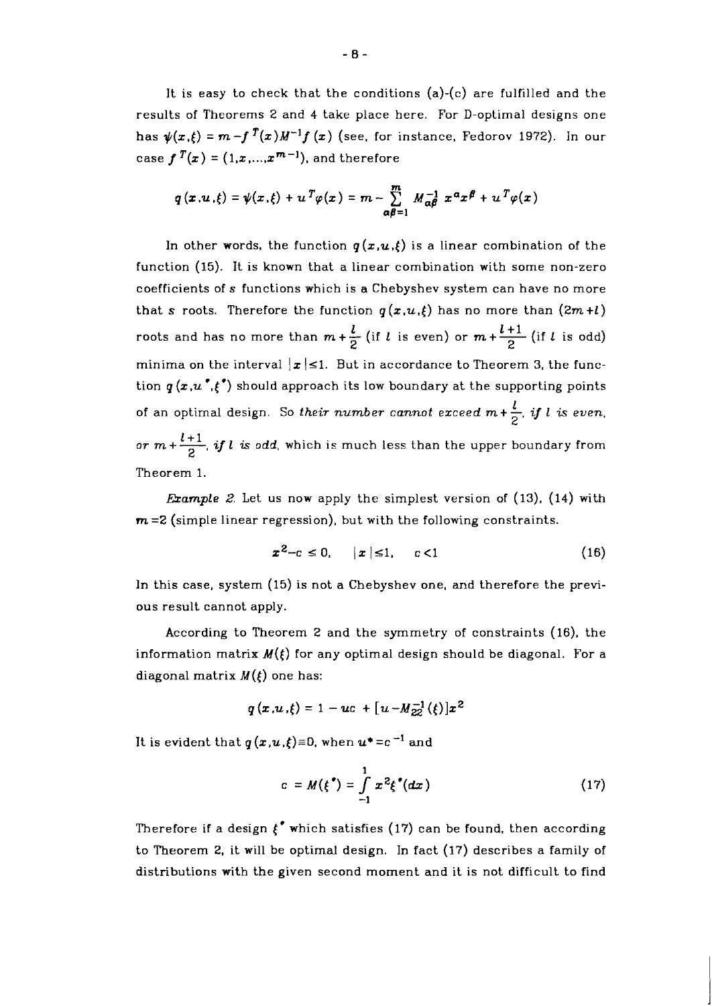It is easy to check that the conditions (a)-(c) are fulfilled and the results of Theorems 2 and 4 take place here. For D-optimal designs one has  $\psi(x,\xi) = m-f$   $\int_0^T (x)M^{-1}f(x)$  (see, for instance, Fedorov 1972). In our case  $f^{T}(x) = (1, x, ..., x^{m-1})$ , and therefore

$$
q(x, u, \xi) = \psi(x, \xi) + u^T \varphi(x) = m - \sum_{\alpha \beta = 1}^m M_{\alpha \beta}^{-1} x^{\alpha} x^{\beta} + u^T \varphi(x)
$$

In other words, the function  $q(x,u,\xi)$  is a linear combination of the function (15). It is known that a linear combination with some non-zero coefficients of **s** functions which is a Chebyshev system can have no more that **s** roots. Therefore the function  $q(x, u, \xi)$  has no more than  $(2m+l)$ roots and has no more than  $m + \frac{l}{2}$  (if *l* is even) or  $m + \frac{l+1}{2}$  (if *l* is odd) minima on the interval  $|x| \leq 1$ . But in accordance to Theorem 3, the function  $q(x, u^{\bullet}, \xi^{\bullet})$  should approach its low boundary at the supporting points of an optimal design. So their number cannot exceed  $m+\frac{l}{2}$ , if l is even, or  $m+\frac{l+1}{2}$ , if l is odd, which is much less than the upper boundary from Theorem 1.

**Example 2.** Let us now apply the simplest version of  $(13)$ ,  $(14)$  with **rn =2** (simple linear regression), but with the following constraints.

$$
x^2-c \le 0, \quad |x| \le 1, \quad c < 1 \tag{16}
$$

In this case, system (15) is not a Chebyshev one, and therefore the previous result cannot apply.

According to Theorem 2 and the symmetry of constraints (16), the information matrix  $M(\xi)$  for any optimal design should be diagonal. For a diagonal matrix  $M(\xi)$  one has:

$$
q(x, u, \xi) = 1 - uc + [u - M_{22}^{-1}(\xi)]x^2
$$

It is evident that  $q(x,u,\xi) \equiv 0$ , when  $u^* = c^{-1}$  and

$$
c = M(\xi^*) = \int_{-1}^{1} x^2 \xi^*(dx)
$$
 (17)

Therefore if a design  $\xi^*$  which satisfies (17) can be found, then according to Theorem 2, it will be optimal design. In fact (17) describes a family of distributions with the given second moment and it is not difficult to find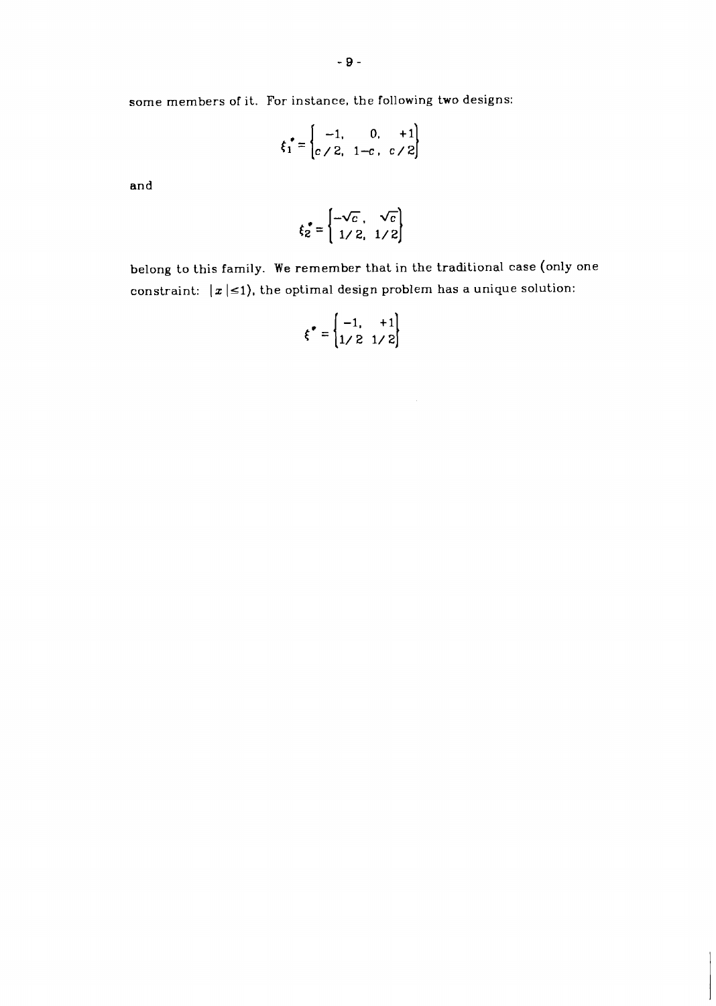some members of it. For instance, the following two designs:

$$
\xi_1^* = \begin{cases} -1, & 0, +1 \\ c \ /2, & 1-c, c \ /2 \end{cases}
$$

and

$$
\xi_2^* = \begin{cases} -\sqrt{c} , & \sqrt{c} \\ 1/2 , & 1/2 \end{cases}
$$

belong to this family. We remember that in the traditional case (only one constraint:  $|x| \leq 1$ , the optimal design problem has a unique solution:

$$
\boldsymbol{\xi}^* = \begin{bmatrix} -1, & +1 \\ 1/2 & 1/2 \end{bmatrix}
$$